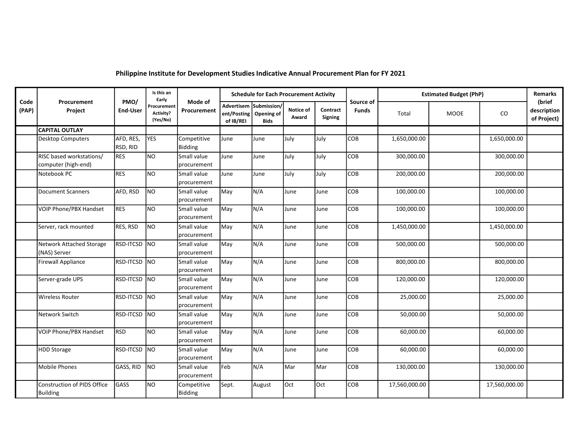## Philippine Institute for Development Studies Indicative Annual Procurement Plan for FY 2021

| Code<br>Procurement<br>Source of<br>Advertisem<br>Submission/<br>Procurement<br>(PAP)<br>Project<br><b>End-User</b><br>Notice of<br>Contract<br><b>Funds</b><br>Procurement<br>Activity?<br>ent/Posting<br>Opening of<br>MOOE<br>Total<br>Award<br>Signing<br>(Yes/No)<br>of IB/REI<br><b>Bids</b><br><b>CAPITAL OUTLAY</b><br><b>YES</b><br>AFD, RES,<br>July<br>COB<br>Competitive<br>June<br>July<br>1,650,000.00<br><b>Desktop Computers</b><br>June<br>RSD, RID<br>Bidding<br>N <sub>O</sub><br>RISC based workstations/<br>July<br>COB<br>300,000.00<br><b>RES</b><br>Small value<br>June<br>July<br>June<br>computer (high-end)<br>procurement<br><b>NO</b><br><b>RES</b><br>July<br>COB<br>200,000.00<br>Small value<br>June<br>July<br>Notebook PC<br>June<br>procurement<br>N <sub>O</sub><br>COB<br>AFD, RSD<br>May<br>N/A<br>100,000.00<br><b>Document Scanners</b><br>Small value<br>June<br>June<br>procurement<br><b>NO</b><br>N/A<br>VOIP Phone/PBX Handset<br><b>RES</b><br>May<br>COB<br>100,000.00<br>Small value<br>June<br>June<br>procurement<br>N <sub>O</sub><br>N/A<br>RES, RSD<br>May<br>COB<br>Server, rack mounted<br>1,450,000.00<br>Small value<br>June<br>June<br>procurement<br>RSD-ITCSD<br>NO<br>N/A<br>COB<br>May<br>500,000.00<br>Network Attached Storage<br>Small value<br>June<br>June<br>(NAS) Server<br>procurement<br>NO<br>N/A<br><b>RSD-ITCSD</b><br>May<br>COB<br>800,000.00<br><b>Firewall Appliance</b><br>Small value<br>June<br>June<br>procurement<br>NO<br>N/A<br>COB<br><b>RSD-ITCSD</b><br>May<br>120,000.00<br>Server-grade UPS<br>Small value<br>June<br>June<br>procurement<br>NO<br>N/A<br>RSD-ITCSD<br>May<br>COB<br>25,000.00<br><b>Wireless Router</b><br>Small value<br>June<br>June<br>procurement<br>NO<br>N/A<br>COB<br>RSD-ITCSD<br>May<br>Network Switch<br>50,000.00<br>Small value<br>June<br>June<br>procurement<br>N <sub>O</sub><br>N/A<br><b>RSD</b><br>COB<br>VOIP Phone/PBX Handset<br>Small value<br>May<br>60,000.00<br>June<br>June<br>procurement<br>NO<br>N/A<br>RSD-ITCSD<br>COB<br><b>HDD Storage</b><br>May<br>60,000.00<br>Small value<br>June<br>June | (brief<br>description | <b>Schedule for Each Procurement Activity</b> |  |  |  |  | Is this an<br>Early<br>PMO/ | Mode of |  |
|-------------------------------------------------------------------------------------------------------------------------------------------------------------------------------------------------------------------------------------------------------------------------------------------------------------------------------------------------------------------------------------------------------------------------------------------------------------------------------------------------------------------------------------------------------------------------------------------------------------------------------------------------------------------------------------------------------------------------------------------------------------------------------------------------------------------------------------------------------------------------------------------------------------------------------------------------------------------------------------------------------------------------------------------------------------------------------------------------------------------------------------------------------------------------------------------------------------------------------------------------------------------------------------------------------------------------------------------------------------------------------------------------------------------------------------------------------------------------------------------------------------------------------------------------------------------------------------------------------------------------------------------------------------------------------------------------------------------------------------------------------------------------------------------------------------------------------------------------------------------------------------------------------------------------------------------------------------------------------------------------------------------------------------------------------------------------------------------------------------------------------------------|-----------------------|-----------------------------------------------|--|--|--|--|-----------------------------|---------|--|
|                                                                                                                                                                                                                                                                                                                                                                                                                                                                                                                                                                                                                                                                                                                                                                                                                                                                                                                                                                                                                                                                                                                                                                                                                                                                                                                                                                                                                                                                                                                                                                                                                                                                                                                                                                                                                                                                                                                                                                                                                                                                                                                                           | CO<br>of Project)     |                                               |  |  |  |  |                             |         |  |
|                                                                                                                                                                                                                                                                                                                                                                                                                                                                                                                                                                                                                                                                                                                                                                                                                                                                                                                                                                                                                                                                                                                                                                                                                                                                                                                                                                                                                                                                                                                                                                                                                                                                                                                                                                                                                                                                                                                                                                                                                                                                                                                                           |                       |                                               |  |  |  |  |                             |         |  |
|                                                                                                                                                                                                                                                                                                                                                                                                                                                                                                                                                                                                                                                                                                                                                                                                                                                                                                                                                                                                                                                                                                                                                                                                                                                                                                                                                                                                                                                                                                                                                                                                                                                                                                                                                                                                                                                                                                                                                                                                                                                                                                                                           | 1,650,000.00          |                                               |  |  |  |  |                             |         |  |
|                                                                                                                                                                                                                                                                                                                                                                                                                                                                                                                                                                                                                                                                                                                                                                                                                                                                                                                                                                                                                                                                                                                                                                                                                                                                                                                                                                                                                                                                                                                                                                                                                                                                                                                                                                                                                                                                                                                                                                                                                                                                                                                                           | 300,000.00            |                                               |  |  |  |  |                             |         |  |
|                                                                                                                                                                                                                                                                                                                                                                                                                                                                                                                                                                                                                                                                                                                                                                                                                                                                                                                                                                                                                                                                                                                                                                                                                                                                                                                                                                                                                                                                                                                                                                                                                                                                                                                                                                                                                                                                                                                                                                                                                                                                                                                                           | 200,000.00            |                                               |  |  |  |  |                             |         |  |
|                                                                                                                                                                                                                                                                                                                                                                                                                                                                                                                                                                                                                                                                                                                                                                                                                                                                                                                                                                                                                                                                                                                                                                                                                                                                                                                                                                                                                                                                                                                                                                                                                                                                                                                                                                                                                                                                                                                                                                                                                                                                                                                                           | 100,000.00            |                                               |  |  |  |  |                             |         |  |
|                                                                                                                                                                                                                                                                                                                                                                                                                                                                                                                                                                                                                                                                                                                                                                                                                                                                                                                                                                                                                                                                                                                                                                                                                                                                                                                                                                                                                                                                                                                                                                                                                                                                                                                                                                                                                                                                                                                                                                                                                                                                                                                                           | 100,000.00            |                                               |  |  |  |  |                             |         |  |
|                                                                                                                                                                                                                                                                                                                                                                                                                                                                                                                                                                                                                                                                                                                                                                                                                                                                                                                                                                                                                                                                                                                                                                                                                                                                                                                                                                                                                                                                                                                                                                                                                                                                                                                                                                                                                                                                                                                                                                                                                                                                                                                                           | 1,450,000.00          |                                               |  |  |  |  |                             |         |  |
|                                                                                                                                                                                                                                                                                                                                                                                                                                                                                                                                                                                                                                                                                                                                                                                                                                                                                                                                                                                                                                                                                                                                                                                                                                                                                                                                                                                                                                                                                                                                                                                                                                                                                                                                                                                                                                                                                                                                                                                                                                                                                                                                           | 500,000.00            |                                               |  |  |  |  |                             |         |  |
|                                                                                                                                                                                                                                                                                                                                                                                                                                                                                                                                                                                                                                                                                                                                                                                                                                                                                                                                                                                                                                                                                                                                                                                                                                                                                                                                                                                                                                                                                                                                                                                                                                                                                                                                                                                                                                                                                                                                                                                                                                                                                                                                           | 800,000.00            |                                               |  |  |  |  |                             |         |  |
|                                                                                                                                                                                                                                                                                                                                                                                                                                                                                                                                                                                                                                                                                                                                                                                                                                                                                                                                                                                                                                                                                                                                                                                                                                                                                                                                                                                                                                                                                                                                                                                                                                                                                                                                                                                                                                                                                                                                                                                                                                                                                                                                           | 120,000.00            |                                               |  |  |  |  |                             |         |  |
|                                                                                                                                                                                                                                                                                                                                                                                                                                                                                                                                                                                                                                                                                                                                                                                                                                                                                                                                                                                                                                                                                                                                                                                                                                                                                                                                                                                                                                                                                                                                                                                                                                                                                                                                                                                                                                                                                                                                                                                                                                                                                                                                           | 25,000.00             |                                               |  |  |  |  |                             |         |  |
|                                                                                                                                                                                                                                                                                                                                                                                                                                                                                                                                                                                                                                                                                                                                                                                                                                                                                                                                                                                                                                                                                                                                                                                                                                                                                                                                                                                                                                                                                                                                                                                                                                                                                                                                                                                                                                                                                                                                                                                                                                                                                                                                           | 50,000.00             |                                               |  |  |  |  |                             |         |  |
|                                                                                                                                                                                                                                                                                                                                                                                                                                                                                                                                                                                                                                                                                                                                                                                                                                                                                                                                                                                                                                                                                                                                                                                                                                                                                                                                                                                                                                                                                                                                                                                                                                                                                                                                                                                                                                                                                                                                                                                                                                                                                                                                           | 60,000.00             |                                               |  |  |  |  |                             |         |  |
| procurement                                                                                                                                                                                                                                                                                                                                                                                                                                                                                                                                                                                                                                                                                                                                                                                                                                                                                                                                                                                                                                                                                                                                                                                                                                                                                                                                                                                                                                                                                                                                                                                                                                                                                                                                                                                                                                                                                                                                                                                                                                                                                                                               | 60,000.00             |                                               |  |  |  |  |                             |         |  |
| N <sub>O</sub><br>GASS, RID<br>Feb<br>N/A<br>COB<br>Mobile Phones<br>Mar<br>Mar<br>130,000.00<br>Small value<br>procurement                                                                                                                                                                                                                                                                                                                                                                                                                                                                                                                                                                                                                                                                                                                                                                                                                                                                                                                                                                                                                                                                                                                                                                                                                                                                                                                                                                                                                                                                                                                                                                                                                                                                                                                                                                                                                                                                                                                                                                                                               | 130,000.00            |                                               |  |  |  |  |                             |         |  |
| GASS<br>NO.<br>Oct<br>COB<br><b>Construction of PIDS Office</b><br>Sept.<br><b>Oct</b><br>17,560,000.00<br>Competitive<br>August<br><b>Building</b><br>Bidding                                                                                                                                                                                                                                                                                                                                                                                                                                                                                                                                                                                                                                                                                                                                                                                                                                                                                                                                                                                                                                                                                                                                                                                                                                                                                                                                                                                                                                                                                                                                                                                                                                                                                                                                                                                                                                                                                                                                                                            | 17,560,000.00         |                                               |  |  |  |  |                             |         |  |
|                                                                                                                                                                                                                                                                                                                                                                                                                                                                                                                                                                                                                                                                                                                                                                                                                                                                                                                                                                                                                                                                                                                                                                                                                                                                                                                                                                                                                                                                                                                                                                                                                                                                                                                                                                                                                                                                                                                                                                                                                                                                                                                                           |                       |                                               |  |  |  |  |                             |         |  |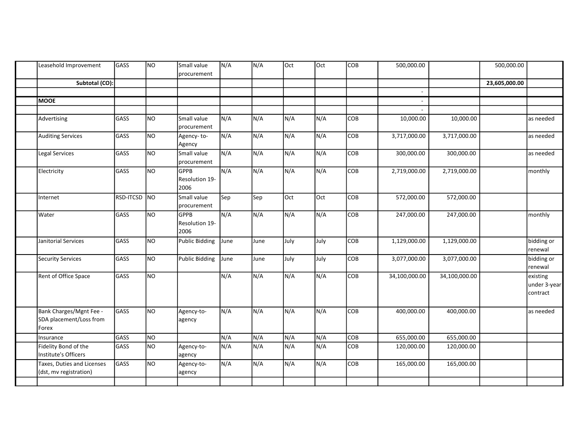| Subtotal (CO):<br>23,605,000.00<br>$\sim$<br><b>MOOE</b><br>$\overline{a}$<br>NO.<br>Small value<br>N/A<br>N/A<br>N/A<br>N/A<br>COB<br>GASS<br>10,000.00<br>10,000.00<br>Advertising<br>procurement<br>$\overline{\text{NO}}$<br>N/A<br>N/A<br>N/A<br>GASS<br>N/A<br>COB<br><b>Auditing Services</b><br>3,717,000.00<br>3,717,000.00<br>Agency-to-<br>Agency<br>$\overline{\text{NO}}$<br>N/A<br>N/A<br>N/A<br>N/A<br>GASS<br>COB<br>Legal Services<br>Small value<br>300,000.00<br>300,000.00<br>procurement<br>$\overline{\text{NO}}$<br>N/A<br>N/A<br>N/A<br>N/A<br>GASS<br>GPPB<br>COB<br>2,719,000.00<br>2,719,000.00<br>Electricity<br>Resolution 19-<br>2006<br>Oct<br><b>RSD-ITCSD</b><br>NO<br>Small value<br>Oct<br>COB<br>572,000.00<br>Sep<br>Sep<br>572,000.00<br>Internet<br>procurement<br>NO<br>N/A<br>N/A<br>N/A<br>N/A<br>GASS<br>COB<br>247,000.00<br>247,000.00<br>Water<br><b>GPPB</b><br>Resolution 19-<br>2006<br>GASS<br>NO.<br>Public Bidding<br>July<br>July<br>COB<br>Janitorial Services<br>June<br>1,129,000.00<br>1,129,000.00<br>June<br>N <sub>O</sub><br>GASS<br><b>Public Bidding</b><br>July<br>July<br>COB<br>Security Services<br>3,077,000.00<br>3,077,000.00<br>June<br>June<br>N/A<br>N <sub>O</sub><br>N/A<br>N/A<br>N/A<br>Rent of Office Space<br>GASS<br>COB<br>34,100,000.00<br>34,100,000.00<br>Bank Charges/Mgnt Fee -<br>GASS<br>N/A<br>N/A<br>NO<br>N/A<br>N/A<br>COB<br>400,000.00<br>400,000.00<br>Agency-to-<br>SDA placement/Loss from<br>agency<br>Forex<br>N/A<br>N/A<br>GASS<br>N <sub>O</sub><br>N/A<br>N/A<br>COB<br>655,000.00<br>655,000.00<br>Insurance<br>NO<br>N/A<br>N/A<br>N/A<br>Fidelity Bond of the<br>N/A<br>GASS<br>COB<br>120,000.00<br>120,000.00<br>Agency-to-<br>Institute's Officers<br>agency<br>N/A<br>N/A<br>GASS<br>N <sub>O</sub><br>N/A<br>COB<br>Taxes, Duties and Licenses<br>N/A<br>165,000.00<br>165,000.00<br>Agency-to-<br>(dst, mv registration)<br>agency | Leasehold Improvement | GASS | NO. | Small value<br>procurement | N/A | N/A | Oct | Oct | COB | 500,000.00 | 500,000.00 |                                      |
|----------------------------------------------------------------------------------------------------------------------------------------------------------------------------------------------------------------------------------------------------------------------------------------------------------------------------------------------------------------------------------------------------------------------------------------------------------------------------------------------------------------------------------------------------------------------------------------------------------------------------------------------------------------------------------------------------------------------------------------------------------------------------------------------------------------------------------------------------------------------------------------------------------------------------------------------------------------------------------------------------------------------------------------------------------------------------------------------------------------------------------------------------------------------------------------------------------------------------------------------------------------------------------------------------------------------------------------------------------------------------------------------------------------------------------------------------------------------------------------------------------------------------------------------------------------------------------------------------------------------------------------------------------------------------------------------------------------------------------------------------------------------------------------------------------------------------------------------------------------------------------------------------------------------------------------------------|-----------------------|------|-----|----------------------------|-----|-----|-----|-----|-----|------------|------------|--------------------------------------|
|                                                                                                                                                                                                                                                                                                                                                                                                                                                                                                                                                                                                                                                                                                                                                                                                                                                                                                                                                                                                                                                                                                                                                                                                                                                                                                                                                                                                                                                                                                                                                                                                                                                                                                                                                                                                                                                                                                                                                    |                       |      |     |                            |     |     |     |     |     |            |            |                                      |
|                                                                                                                                                                                                                                                                                                                                                                                                                                                                                                                                                                                                                                                                                                                                                                                                                                                                                                                                                                                                                                                                                                                                                                                                                                                                                                                                                                                                                                                                                                                                                                                                                                                                                                                                                                                                                                                                                                                                                    |                       |      |     |                            |     |     |     |     |     |            |            |                                      |
|                                                                                                                                                                                                                                                                                                                                                                                                                                                                                                                                                                                                                                                                                                                                                                                                                                                                                                                                                                                                                                                                                                                                                                                                                                                                                                                                                                                                                                                                                                                                                                                                                                                                                                                                                                                                                                                                                                                                                    |                       |      |     |                            |     |     |     |     |     |            |            |                                      |
|                                                                                                                                                                                                                                                                                                                                                                                                                                                                                                                                                                                                                                                                                                                                                                                                                                                                                                                                                                                                                                                                                                                                                                                                                                                                                                                                                                                                                                                                                                                                                                                                                                                                                                                                                                                                                                                                                                                                                    |                       |      |     |                            |     |     |     |     |     |            |            |                                      |
|                                                                                                                                                                                                                                                                                                                                                                                                                                                                                                                                                                                                                                                                                                                                                                                                                                                                                                                                                                                                                                                                                                                                                                                                                                                                                                                                                                                                                                                                                                                                                                                                                                                                                                                                                                                                                                                                                                                                                    |                       |      |     |                            |     |     |     |     |     |            |            | as needed                            |
|                                                                                                                                                                                                                                                                                                                                                                                                                                                                                                                                                                                                                                                                                                                                                                                                                                                                                                                                                                                                                                                                                                                                                                                                                                                                                                                                                                                                                                                                                                                                                                                                                                                                                                                                                                                                                                                                                                                                                    |                       |      |     |                            |     |     |     |     |     |            |            | as needed                            |
|                                                                                                                                                                                                                                                                                                                                                                                                                                                                                                                                                                                                                                                                                                                                                                                                                                                                                                                                                                                                                                                                                                                                                                                                                                                                                                                                                                                                                                                                                                                                                                                                                                                                                                                                                                                                                                                                                                                                                    |                       |      |     |                            |     |     |     |     |     |            |            | as needed                            |
|                                                                                                                                                                                                                                                                                                                                                                                                                                                                                                                                                                                                                                                                                                                                                                                                                                                                                                                                                                                                                                                                                                                                                                                                                                                                                                                                                                                                                                                                                                                                                                                                                                                                                                                                                                                                                                                                                                                                                    |                       |      |     |                            |     |     |     |     |     |            |            | monthly                              |
|                                                                                                                                                                                                                                                                                                                                                                                                                                                                                                                                                                                                                                                                                                                                                                                                                                                                                                                                                                                                                                                                                                                                                                                                                                                                                                                                                                                                                                                                                                                                                                                                                                                                                                                                                                                                                                                                                                                                                    |                       |      |     |                            |     |     |     |     |     |            |            |                                      |
|                                                                                                                                                                                                                                                                                                                                                                                                                                                                                                                                                                                                                                                                                                                                                                                                                                                                                                                                                                                                                                                                                                                                                                                                                                                                                                                                                                                                                                                                                                                                                                                                                                                                                                                                                                                                                                                                                                                                                    |                       |      |     |                            |     |     |     |     |     |            |            | monthly                              |
|                                                                                                                                                                                                                                                                                                                                                                                                                                                                                                                                                                                                                                                                                                                                                                                                                                                                                                                                                                                                                                                                                                                                                                                                                                                                                                                                                                                                                                                                                                                                                                                                                                                                                                                                                                                                                                                                                                                                                    |                       |      |     |                            |     |     |     |     |     |            |            | bidding or<br>renewal                |
|                                                                                                                                                                                                                                                                                                                                                                                                                                                                                                                                                                                                                                                                                                                                                                                                                                                                                                                                                                                                                                                                                                                                                                                                                                                                                                                                                                                                                                                                                                                                                                                                                                                                                                                                                                                                                                                                                                                                                    |                       |      |     |                            |     |     |     |     |     |            |            | bidding or<br>renewal                |
|                                                                                                                                                                                                                                                                                                                                                                                                                                                                                                                                                                                                                                                                                                                                                                                                                                                                                                                                                                                                                                                                                                                                                                                                                                                                                                                                                                                                                                                                                                                                                                                                                                                                                                                                                                                                                                                                                                                                                    |                       |      |     |                            |     |     |     |     |     |            |            | existing<br>under 3-year<br>contract |
|                                                                                                                                                                                                                                                                                                                                                                                                                                                                                                                                                                                                                                                                                                                                                                                                                                                                                                                                                                                                                                                                                                                                                                                                                                                                                                                                                                                                                                                                                                                                                                                                                                                                                                                                                                                                                                                                                                                                                    |                       |      |     |                            |     |     |     |     |     |            |            | as needed                            |
|                                                                                                                                                                                                                                                                                                                                                                                                                                                                                                                                                                                                                                                                                                                                                                                                                                                                                                                                                                                                                                                                                                                                                                                                                                                                                                                                                                                                                                                                                                                                                                                                                                                                                                                                                                                                                                                                                                                                                    |                       |      |     |                            |     |     |     |     |     |            |            |                                      |
|                                                                                                                                                                                                                                                                                                                                                                                                                                                                                                                                                                                                                                                                                                                                                                                                                                                                                                                                                                                                                                                                                                                                                                                                                                                                                                                                                                                                                                                                                                                                                                                                                                                                                                                                                                                                                                                                                                                                                    |                       |      |     |                            |     |     |     |     |     |            |            |                                      |
|                                                                                                                                                                                                                                                                                                                                                                                                                                                                                                                                                                                                                                                                                                                                                                                                                                                                                                                                                                                                                                                                                                                                                                                                                                                                                                                                                                                                                                                                                                                                                                                                                                                                                                                                                                                                                                                                                                                                                    |                       |      |     |                            |     |     |     |     |     |            |            |                                      |
|                                                                                                                                                                                                                                                                                                                                                                                                                                                                                                                                                                                                                                                                                                                                                                                                                                                                                                                                                                                                                                                                                                                                                                                                                                                                                                                                                                                                                                                                                                                                                                                                                                                                                                                                                                                                                                                                                                                                                    |                       |      |     |                            |     |     |     |     |     |            |            |                                      |
|                                                                                                                                                                                                                                                                                                                                                                                                                                                                                                                                                                                                                                                                                                                                                                                                                                                                                                                                                                                                                                                                                                                                                                                                                                                                                                                                                                                                                                                                                                                                                                                                                                                                                                                                                                                                                                                                                                                                                    |                       |      |     |                            |     |     |     |     |     |            |            |                                      |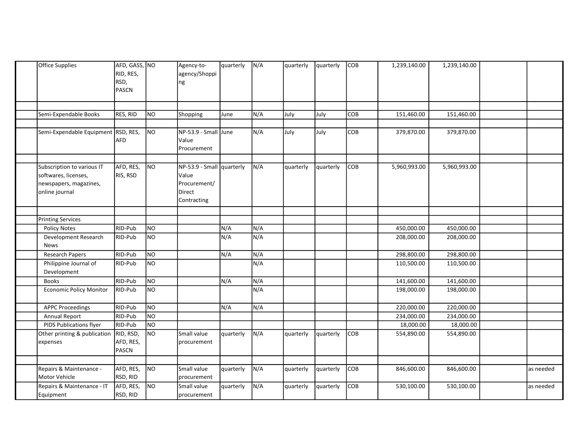|                                        | Semi-Expendable Books<br>Semi-Expendable Equipment RSD, RES, | RES, RID                        | N <sub>O</sub> |                                                                             |            |            |           | quarterly | <b>COB</b> | 1,239,140.00 | 1,239,140.00 |           |
|----------------------------------------|--------------------------------------------------------------|---------------------------------|----------------|-----------------------------------------------------------------------------|------------|------------|-----------|-----------|------------|--------------|--------------|-----------|
|                                        |                                                              |                                 |                |                                                                             |            |            |           |           |            |              |              |           |
|                                        |                                                              |                                 |                | Shopping                                                                    | June       | N/A        | July      | July      | COB        | 151,460.00   | 151,460.00   |           |
|                                        |                                                              | AFD                             | NO             | $NP-53.9$ - Small June<br>Value<br>Procurement                              |            | N/A        | July      | July      | COB        | 379,870.00   | 379,870.00   |           |
| softwares, licenses,<br>online journal | Subscription to various IT<br>newspapers, magazines,         | AFD, RES,<br>RIS, RSD           | NO             | NP-53.9 - Small quarterly<br>Value<br>Procurement/<br>Direct<br>Contracting |            | N/A        | quarterly | quarterly | COB        | 5,960,993.00 | 5,960,993.00 |           |
|                                        |                                                              |                                 |                |                                                                             |            |            |           |           |            |              |              |           |
| <b>Printing Services</b>               |                                                              | RID-Pub                         | NO             |                                                                             |            |            |           |           |            | 450,000.00   | 450,000.00   |           |
| Policy Notes<br>News                   | Development Research                                         | RID-Pub                         | NO             |                                                                             | N/A<br>N/A | N/A<br>N/A |           |           |            | 208,000.00   | 208,000.00   |           |
| <b>Research Papers</b>                 |                                                              | RID-Pub                         | N <sub>O</sub> |                                                                             | N/A        | N/A        |           |           |            | 298,800.00   | 298,800.00   |           |
| Development                            | Philippine Journal of                                        | RID-Pub                         | NO             |                                                                             |            | N/A        |           |           |            | 110,500.00   | 110,500.00   |           |
| Books                                  |                                                              | RID-Pub                         | N <sub>O</sub> |                                                                             | N/A        | N/A        |           |           |            | 141,600.00   | 141,600.00   |           |
|                                        | <b>Economic Policy Monitor</b>                               | RID-Pub                         | N <sub>O</sub> |                                                                             |            | N/A        |           |           |            | 198,000.00   | 198,000.00   |           |
| <b>APPC Proceedings</b>                |                                                              | RID-Pub                         | N <sub>O</sub> |                                                                             | N/A        | N/A        |           |           |            | 220,000.00   | 220,000.00   |           |
| Annual Report                          |                                                              | RID-Pub                         | NO             |                                                                             |            |            |           |           |            | 234,000.00   | 234,000.00   |           |
|                                        | PIDS Publications flyer                                      | RID-Pub                         | NO             |                                                                             |            |            |           |           |            | 18,000.00    | 18,000.00    |           |
| expenses                               | Other printing & publication                                 | RID, RSD,<br>AFD, RES,<br>PASCN | NO             | Small value<br>procurement                                                  | quarterly  | N/A        | quarterly | quarterly | COB        | 554,890.00   | 554,890.00   |           |
|                                        |                                                              |                                 |                | Small value                                                                 |            |            |           |           |            |              |              |           |
| Motor Vehicle                          | Repairs & Maintenance -                                      | AFD, RES,<br>RSD, RID           | NO             | procurement                                                                 | quarterly  | N/A        | quarterly | quarterly | COB        | 846,600.00   | 846,600.00   | as needed |
| Equipment                              | Repairs & Maintenance - IT                                   | AFD, RES,<br>RSD, RID           | NO             | Small value<br>procurement                                                  | quarterly  | N/A        | quarterly | quarterly | <b>COB</b> | 530,100.00   | 530,100.00   | as needed |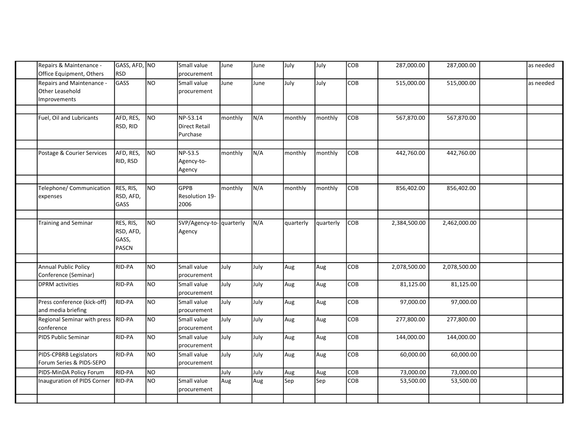| Repairs & Maintenance -<br>Office Equipment, Others | GASS, AFD, NO<br><b>RSD</b> |                | Small value             | June    | June | July      | July      | <b>COB</b> | 287,000.00   | 287,000.00   | as needed |
|-----------------------------------------------------|-----------------------------|----------------|-------------------------|---------|------|-----------|-----------|------------|--------------|--------------|-----------|
|                                                     |                             |                | procurement             |         |      |           |           |            |              |              |           |
| Repairs and Maintenance -                           | GASS                        | NO             | Small value             | June    | June | July      | July      | <b>COB</b> | 515,000.00   | 515,000.00   | as needed |
| Other Leasehold                                     |                             |                | procurement             |         |      |           |           |            |              |              |           |
| Improvements                                        |                             |                |                         |         |      |           |           |            |              |              |           |
|                                                     |                             |                |                         |         |      |           |           |            |              |              |           |
| Fuel, Oil and Lubricants                            | AFD, RES,                   | NO             | NP-53.14                | monthly | N/A  | monthly   | monthly   | COB        | 567,870.00   | 567,870.00   |           |
|                                                     | RSD, RID                    |                | <b>Direct Retail</b>    |         |      |           |           |            |              |              |           |
|                                                     |                             |                | Purchase                |         |      |           |           |            |              |              |           |
|                                                     |                             |                |                         |         |      |           |           |            |              |              |           |
| Postage & Courier Services                          | AFD, RES,                   | NO             | NP-53.5                 | monthly | N/A  | monthly   | monthly   | <b>COB</b> | 442,760.00   | 442,760.00   |           |
|                                                     | RID, RSD                    |                | Agency-to-              |         |      |           |           |            |              |              |           |
|                                                     |                             |                |                         |         |      |           |           |            |              |              |           |
|                                                     |                             |                | Agency                  |         |      |           |           |            |              |              |           |
|                                                     |                             |                |                         |         |      |           |           |            |              |              |           |
| Telephone/ Communication                            | RES, RIS,                   | NO             | <b>GPPB</b>             | monthly | N/A  | monthly   | monthly   | <b>COB</b> | 856,402.00   | 856,402.00   |           |
| expenses                                            | RSD, AFD,                   |                | Resolution 19-          |         |      |           |           |            |              |              |           |
|                                                     | GASS                        |                | 2006                    |         |      |           |           |            |              |              |           |
|                                                     |                             |                |                         |         |      |           |           |            |              |              |           |
| <b>Training and Seminar</b>                         | RES, RIS,                   | NO             | SVP/Agency-to-quarterly |         | N/A  | quarterly | quarterly | <b>COB</b> | 2,384,500.00 | 2,462,000.00 |           |
|                                                     | RSD, AFD,                   |                | Agency                  |         |      |           |           |            |              |              |           |
|                                                     | GASS,                       |                |                         |         |      |           |           |            |              |              |           |
|                                                     | <b>PASCN</b>                |                |                         |         |      |           |           |            |              |              |           |
|                                                     |                             |                |                         |         |      |           |           |            |              |              |           |
| <b>Annual Public Policy</b>                         | RID-PA                      | NO             | Small value             | July    |      |           |           | COB        |              | 2,078,500.00 |           |
|                                                     |                             |                |                         |         | July | Aug       | Aug       |            | 2,078,500.00 |              |           |
| Conference (Seminar)                                |                             |                | procurement             |         |      |           |           |            |              |              |           |
| <b>DPRM</b> activities                              | RID-PA                      | NO             | Small value             | July    | July | Aug       | Aug       | COB        | 81,125.00    | 81,125.00    |           |
|                                                     |                             |                | procurement             |         |      |           |           |            |              |              |           |
| Press conference (kick-off)                         | RID-PA                      | N <sub>O</sub> | Small value             | July    | July | Aug       | Aug       | COB        | 97,000.00    | 97,000.00    |           |
| and media briefing                                  |                             |                | procurement             |         |      |           |           |            |              |              |           |
| Regional Seminar with press RID-PA                  |                             | N <sub>O</sub> | Small value             | July    | July | Aug       | Aug       | COB        | 277,800.00   | 277,800.00   |           |
| conference                                          |                             |                | procurement             |         |      |           |           |            |              |              |           |
| PIDS Public Seminar                                 | RID-PA                      | NO             | Small value             | July    | July | Aug       | Aug       | COB        | 144,000.00   | 144,000.00   |           |
|                                                     |                             |                | procurement             |         |      |           |           |            |              |              |           |
| PIDS-CPBRB Legislators                              | RID-PA                      | N <sub>O</sub> | Small value             | July    | July | Aug       | Aug       | COB        | 60,000.00    | 60,000.00    |           |
| Forum Series & PIDS-SEPO                            |                             |                | procurement             |         |      |           |           |            |              |              |           |
|                                                     |                             |                |                         |         |      |           |           |            |              |              |           |
| PIDS-MinDA Policy Forum                             | RID-PA                      | N <sub>O</sub> |                         | July    | July | Aug       | Aug       | COB        | 73,000.00    | 73,000.00    |           |
| Inauguration of PIDS Corner                         | RID-PA                      | NO             | Small value             | Aug     | Aug  | Sep       | Sep       | COB        | 53,500.00    | 53,500.00    |           |
|                                                     |                             |                | procurement             |         |      |           |           |            |              |              |           |
|                                                     |                             |                |                         |         |      |           |           |            |              |              |           |
|                                                     |                             |                |                         |         |      |           |           |            |              |              |           |
|                                                     |                             |                |                         |         |      |           |           |            |              |              |           |
|                                                     |                             |                |                         |         |      |           |           |            |              |              |           |
|                                                     |                             |                |                         |         |      |           |           |            |              |              |           |
|                                                     |                             |                |                         |         |      |           |           |            |              |              |           |
|                                                     |                             |                |                         |         |      |           |           |            |              |              |           |
|                                                     |                             |                |                         |         |      |           |           |            |              |              |           |
|                                                     |                             |                |                         |         |      |           |           |            |              |              |           |
|                                                     |                             |                |                         |         |      |           |           |            |              |              |           |
|                                                     |                             |                |                         |         |      |           |           |            |              |              |           |
|                                                     |                             |                |                         |         |      |           |           |            |              |              |           |
|                                                     |                             |                |                         |         |      |           |           |            |              |              |           |
|                                                     |                             |                |                         |         |      |           |           |            |              |              |           |
|                                                     |                             |                |                         |         |      |           |           |            |              |              |           |
|                                                     |                             |                |                         |         |      |           |           |            |              |              |           |
|                                                     |                             |                |                         |         |      |           |           |            |              |              |           |
|                                                     |                             |                |                         |         |      |           |           |            |              |              |           |
|                                                     |                             |                |                         |         |      |           |           |            |              |              |           |
|                                                     |                             |                |                         |         |      |           |           |            |              |              |           |
|                                                     |                             |                |                         |         |      |           |           |            |              |              |           |
|                                                     |                             |                |                         |         |      |           |           |            |              |              |           |
|                                                     |                             |                |                         |         |      |           |           |            |              |              |           |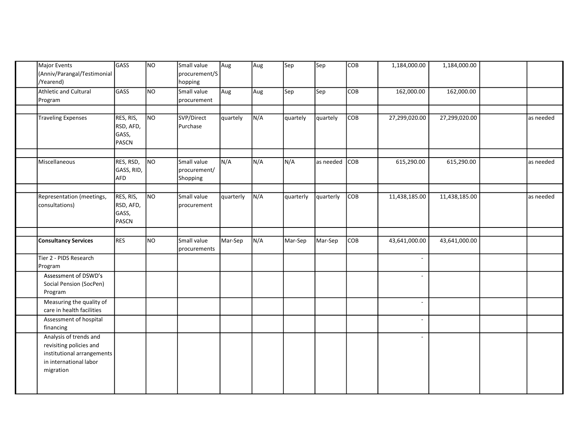| Major Events<br>(Anniv/Parangal/Testimonial<br>/Yearend)                                                               | GASS                                     | NO | Small value<br>procurement/S<br>hopping | Aug       | Aug | Sep       | Sep       | COB        | 1,184,000.00             | 1,184,000.00  |           |
|------------------------------------------------------------------------------------------------------------------------|------------------------------------------|----|-----------------------------------------|-----------|-----|-----------|-----------|------------|--------------------------|---------------|-----------|
| Athletic and Cultural<br>Program                                                                                       | GASS                                     | NO | Small value<br>procurement              | Aug       | Aug | Sep       | Sep       | <b>COB</b> | 162,000.00               | 162,000.00    |           |
|                                                                                                                        |                                          |    |                                         |           |     |           |           |            |                          |               |           |
| Traveling Expenses                                                                                                     | RES, RIS,<br>RSD, AFD,<br>GASS,<br>PASCN | NO | SVP/Direct<br>Purchase                  | quartely  | N/A | quartely  | quartely  | <b>COB</b> | 27,299,020.00            | 27,299,020.00 | as needed |
| Miscellaneous                                                                                                          | RES, RSD,<br>GASS, RID,<br><b>AFD</b>    | NO | Small value<br>procurement/<br>Shopping | N/A       | N/A | N/A       | as needed | <b>COB</b> | 615,290.00               | 615,290.00    | as needed |
|                                                                                                                        |                                          |    |                                         |           |     |           |           |            |                          |               |           |
| Representation (meetings,<br>consultations)                                                                            | RES, RIS,<br>RSD, AFD,<br>GASS,<br>PASCN | NO | Small value<br>procurement              | quarterly | N/A | quarterly | quarterly | <b>COB</b> | 11,438,185.00            | 11,438,185.00 | as needed |
|                                                                                                                        |                                          |    |                                         |           |     |           |           |            |                          |               |           |
| <b>Consultancy Services</b>                                                                                            | <b>RES</b>                               | NO | Small value<br>procurements             | Mar-Sep   | N/A | Mar-Sep   | Mar-Sep   | <b>COB</b> | 43,641,000.00            | 43,641,000.00 |           |
| Tier 2 - PIDS Research<br>Program                                                                                      |                                          |    |                                         |           |     |           |           |            | $\sim$                   |               |           |
| Assessment of DSWD's<br>Social Pension (SocPen)<br>Program                                                             |                                          |    |                                         |           |     |           |           |            | $\overline{\phantom{a}}$ |               |           |
| Measuring the quality of<br>care in health facilities                                                                  |                                          |    |                                         |           |     |           |           |            |                          |               |           |
| Assessment of hospital<br>financing                                                                                    |                                          |    |                                         |           |     |           |           |            |                          |               |           |
| Analysis of trends and<br>revisiting policies and<br>institutional arrangements<br>in international labor<br>migration |                                          |    |                                         |           |     |           |           |            |                          |               |           |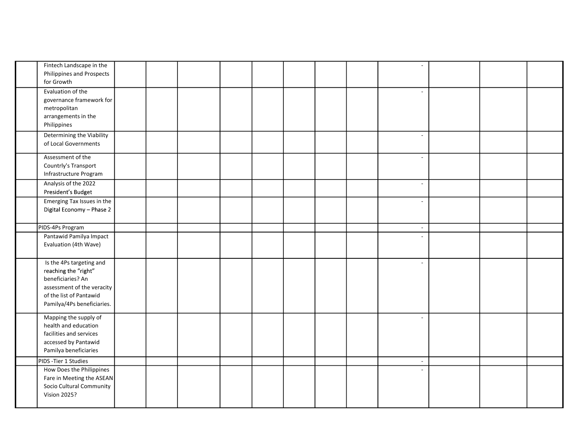| Fintech Landscape in the<br>Philippines and Prospects<br>for Growth                                                                                          |  |  |  |  | $\overline{\phantom{a}}$    |  |  |
|--------------------------------------------------------------------------------------------------------------------------------------------------------------|--|--|--|--|-----------------------------|--|--|
| Evaluation of the<br>governance framework for<br>metropolitan<br>arrangements in the<br>Philippines                                                          |  |  |  |  | $\overline{a}$              |  |  |
| Determining the Viability<br>of Local Governments                                                                                                            |  |  |  |  | $\overline{\phantom{a}}$    |  |  |
| Assessment of the<br>Countrly's Transport<br>Infrastructure Program                                                                                          |  |  |  |  |                             |  |  |
| Analysis of the 2022<br>President's Budget                                                                                                                   |  |  |  |  | $\overline{a}$              |  |  |
| Emerging Tax Issues in the<br>Digital Economy - Phase 2                                                                                                      |  |  |  |  | $\sim$                      |  |  |
| PIDS-4Ps Program                                                                                                                                             |  |  |  |  | $\mathcal{L}_{\mathcal{A}}$ |  |  |
| Pantawid Pamilya Impact<br>Evaluation (4th Wave)                                                                                                             |  |  |  |  |                             |  |  |
| Is the 4Ps targeting and<br>reaching the "right"<br>beneficiaries? An<br>assessment of the veracity<br>of the list of Pantawid<br>Pamilya/4Ps beneficiaries. |  |  |  |  | $\sim$                      |  |  |
| Mapping the supply of<br>health and education<br>facilities and services<br>accessed by Pantawid<br>Pamilya beneficiaries                                    |  |  |  |  | $\overline{a}$              |  |  |
| PIDS - Tier 1 Studies                                                                                                                                        |  |  |  |  | $\sim$                      |  |  |
| How Does the Philippines<br>Fare in Meeting the ASEAN<br>Socio Cultural Community<br><b>Vision 2025?</b>                                                     |  |  |  |  |                             |  |  |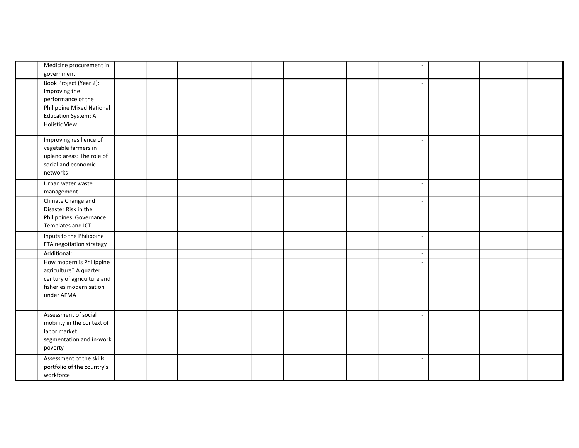| Medicine procurement in<br>government                                                                                                            |  |  |  |  | $\overline{\phantom{a}}$ |  |  |
|--------------------------------------------------------------------------------------------------------------------------------------------------|--|--|--|--|--------------------------|--|--|
| Book Project (Year 2):<br>Improving the<br>performance of the<br>Philippine Mixed National<br><b>Education System: A</b><br><b>Holistic View</b> |  |  |  |  | $\sim$                   |  |  |
| Improving resilience of<br>vegetable farmers in<br>upland areas: The role of<br>social and economic<br>networks                                  |  |  |  |  | $\overline{a}$           |  |  |
| Urban water waste<br>management                                                                                                                  |  |  |  |  | $\blacksquare$           |  |  |
| Climate Change and<br>Disaster Risk in the<br>Philippines: Governance<br>Templates and ICT                                                       |  |  |  |  |                          |  |  |
| Inputs to the Philippine<br>FTA negotiation strategy                                                                                             |  |  |  |  | $\overline{a}$           |  |  |
| Additional:                                                                                                                                      |  |  |  |  | $\overline{\phantom{a}}$ |  |  |
| How modern is Philippine<br>agriculture? A quarter<br>century of agriculture and<br>fisheries modernisation<br>under AFMA                        |  |  |  |  |                          |  |  |
| Assessment of social<br>mobility in the context of<br>labor market<br>segmentation and in-work<br>poverty                                        |  |  |  |  | $\overline{a}$           |  |  |
| Assessment of the skills<br>portfolio of the country's<br>workforce                                                                              |  |  |  |  | $\overline{\phantom{a}}$ |  |  |